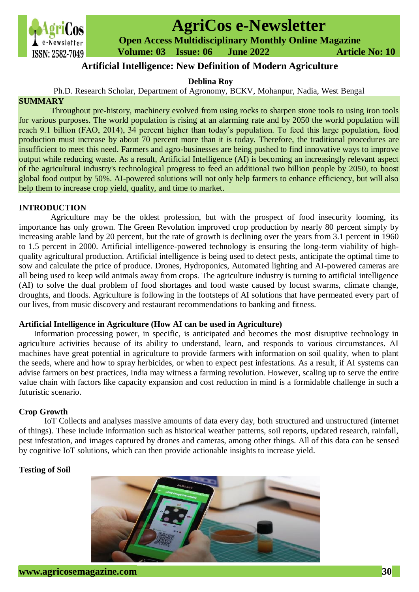

# **AgriCos e-Newsletter**

 **Open Access Multidisciplinary Monthly Online Magazine**

 **Volume: 03 Issue: 06 June 2022 Article No: 10**

# **Artificial Intelligence: New Definition of Modern Agriculture**

**Deblina Roy**

Ph.D. Research Scholar, Department of Agronomy, BCKV, Mohanpur, Nadia, West Bengal

# **SUMMARY**

Throughout pre-history, machinery evolved from using rocks to sharpen stone tools to using iron tools for various purposes. The world population is rising at an alarming rate and by 2050 the world population will reach 9.1 billion (FAO, 2014), 34 percent higher than today's population. To feed this large population, food production must increase by about 70 percent more than it is today. Therefore, the traditional procedures are insufficient to meet this need. Farmers and agro-businesses are being pushed to find innovative ways to improve output while reducing waste. As a result, Artificial Intelligence (AI) is becoming an increasingly relevant aspect of the agricultural industry's technological progress to feed an additional two billion people by 2050, to boost global food output by 50%. AI-powered solutions will not only help farmers to enhance efficiency, but will also help them to increase crop yield, quality, and time to market.

### **INTRODUCTION**

Agriculture may be the oldest profession, but with the prospect of food insecurity looming, its importance has only grown. The Green Revolution improved crop production by nearly 80 percent simply by increasing arable land by 20 percent, but the rate of growth is declining over the years from 3.1 percent in 1960 to 1.5 percent in 2000. Artificial intelligence-powered technology is ensuring the long-term viability of highquality agricultural production. Artificial intelligence is being used to detect pests, anticipate the optimal time to sow and calculate the price of produce. Drones, Hydroponics, Automated lighting and AI-powered cameras are all being used to keep wild animals away from crops. The agriculture industry is turning to artificial intelligence (AI) to solve the dual problem of food shortages and food waste caused by locust swarms, climate change, droughts, and floods. Agriculture is following in the footsteps of AI solutions that have permeated every part of our lives, from music discovery and restaurant recommendations to banking and fitness.

### **Artificial Intelligence in Agriculture (How AI can be used in Agriculture)**

Information processing power, in specific, is anticipated and becomes the most disruptive technology in agriculture activities because of its ability to understand, learn, and responds to various circumstances. AI machines have great potential in agriculture to provide farmers with information on soil quality, when to plant the seeds, where and how to spray herbicides, or when to expect pest infestations. As a result, if AI systems can advise farmers on best practices, India may witness a farming revolution. However, scaling up to serve the entire value chain with factors like capacity expansion and cost reduction in mind is a formidable challenge in such a futuristic scenario.

### **Crop Growth**

IoT Collects and analyses massive amounts of data every day, both structured and unstructured (internet of things). These include information such as historical weather patterns, soil reports, updated research, rainfall, pest infestation, and images captured by drones and cameras, among other things. All of this data can be sensed by cognitive IoT solutions, which can then provide actionable insights to increase yield.

### **Testing of Soil**

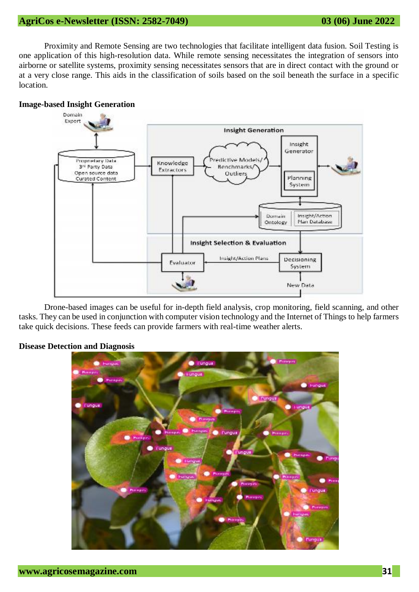# **AgriCos e-Newsletter (ISSN: 2582-7049) 03 (06) June 2022**

Proximity and Remote Sensing are two technologies that facilitate intelligent data fusion. Soil Testing is one application of this high-resolution data. While remote sensing necessitates the integration of sensors into airborne or satellite systems, proximity sensing necessitates sensors that are in direct contact with the ground or at a very close range. This aids in the classification of soils based on the soil beneath the surface in a specific location.



#### **Image-based Insight Generation**

Drone-based images can be useful for in-depth field analysis, crop monitoring, field scanning, and other tasks. They can be used in conjunction with computer vision technology and the Internet of Things to help farmers take quick decisions. These feeds can provide farmers with real-time weather alerts.

#### **Disease Detection and Diagnosis**

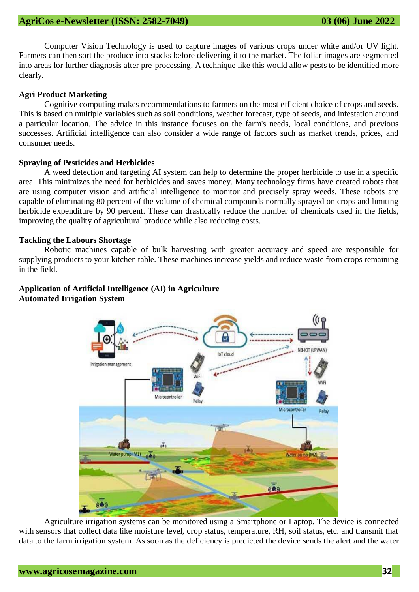Computer Vision Technology is used to capture images of various crops under white and/or UV light. Farmers can then sort the produce into stacks before delivering it to the market. The foliar images are segmented into areas for further diagnosis after pre-processing. A technique like this would allow pests to be identified more clearly.

#### **Agri Product Marketing**

Cognitive computing makes recommendations to farmers on the most efficient choice of crops and seeds. This is based on multiple variables such as soil conditions, weather forecast, type of seeds, and infestation around a particular location. The advice in this instance focuses on the farm's needs, local conditions, and previous successes. Artificial intelligence can also consider a wide range of factors such as market trends, prices, and consumer needs.

#### **Spraying of Pesticides and Herbicides**

A weed detection and targeting AI system can help to determine the proper herbicide to use in a specific area. This minimizes the need for herbicides and saves money. Many technology firms have created robots that are using computer vision and artificial intelligence to monitor and precisely spray weeds. These robots are capable of eliminating 80 percent of the volume of chemical compounds normally sprayed on crops and limiting herbicide expenditure by 90 percent. These can drastically reduce the number of chemicals used in the fields, improving the quality of agricultural produce while also reducing costs.

#### **Tackling the Labours Shortage**

Robotic machines capable of bulk harvesting with greater accuracy and speed are responsible for supplying products to your kitchen table. These machines increase yields and reduce waste from crops remaining in the field.

#### **Application of Artificial Intelligence (AI) in Agriculture Automated Irrigation System**



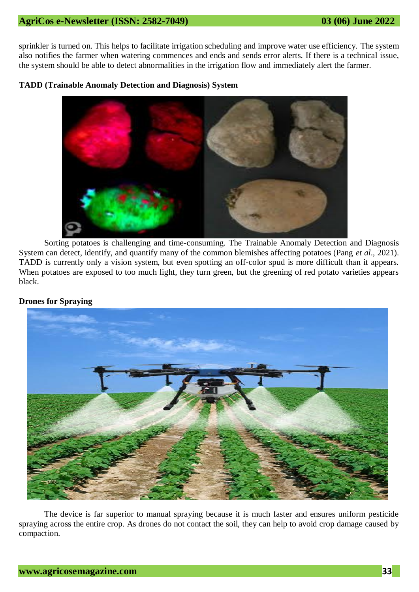sprinkler is turned on. This helps to facilitate irrigation scheduling and improve water use efficiency. The system also notifies the farmer when watering commences and ends and sends error alerts. If there is a technical issue, the system should be able to detect abnormalities in the irrigation flow and immediately alert the farmer.

#### **TADD (Trainable Anomaly Detection and Diagnosis) System**



Sorting potatoes is challenging and time-consuming. The Trainable Anomaly Detection and Diagnosis System can detect, identify, and quantify many of the common blemishes affecting potatoes (Pang *et al*., 2021). TADD is currently only a vision system, but even spotting an off-color spud is more difficult than it appears. When potatoes are exposed to too much light, they turn green, but the greening of red potato varieties appears black.

#### **Drones for Spraying**



The device is far superior to manual spraying because it is much faster and ensures uniform pesticide spraying across the entire crop. As drones do not contact the soil, they can help to avoid crop damage caused by compaction.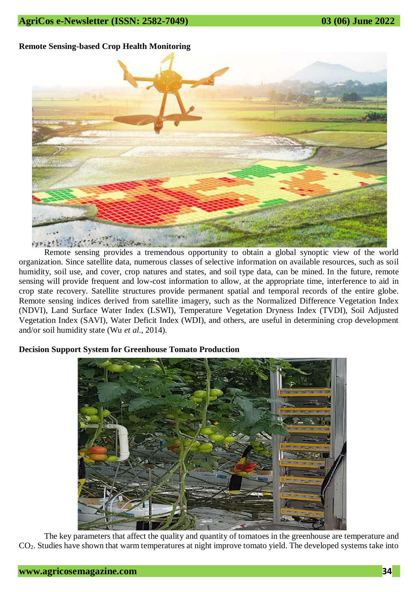# **AgriCos e-Newsletter (ISSN: 2582-7049) 03 (06) June 2022**

#### **Remote Sensing-based Crop Health Monitoring**



Remote sensing provides a tremendous opportunity to obtain a global synoptic view of the world organization. Since satellite data, numerous classes of selective information on available resources, such as soil humidity, soil use, and cover, crop natures and states, and soil type data, can be mined. In the future, remote sensing will provide frequent and low-cost information to allow, at the appropriate time, interference to aid in crop state recovery. Satellite structures provide permanent spatial and temporal records of the entire globe. Remote sensing indices derived from satellite imagery, such as the Normalized Difference Vegetation Index (NDVI), Land Surface Water Index (LSWI), Temperature Vegetation Dryness Index (TVDI), Soil Adjusted Vegetation Index (SAVI), Water Deficit Index (WDI), and others, are useful in determining crop development and/or soil humidity state (Wu *et al*., 2014).

#### **Decision Support System for Greenhouse Tomato Production**



The key parameters that affect the quality and quantity of tomatoes in the greenhouse are temperature and CO2. Studies have shown that warm temperatures at night improve tomato yield. The developed systems take into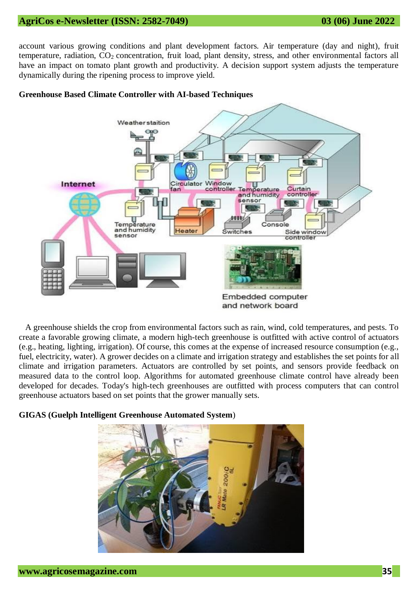#### **AgriCos e-Newsletter (ISSN: 2582-7049) 03 (06) June 2022**

account various growing conditions and plant development factors. Air temperature (day and night), fruit temperature, radiation, CO<sub>2</sub> concentration, fruit load, plant density, stress, and other environmental factors all have an impact on tomato plant growth and productivity. A decision support system adjusts the temperature dynamically during the ripening process to improve yield.



#### **Greenhouse Based Climate Controller with AI-based Techniques**

A greenhouse shields the crop from environmental factors such as rain, wind, cold temperatures, and pests. To create a favorable growing climate, a modern high-tech greenhouse is outfitted with active control of actuators (e.g., heating, lighting, irrigation). Of course, this comes at the expense of increased resource consumption (e.g., fuel, electricity, water). A grower decides on a climate and irrigation strategy and establishes the set points for all climate and irrigation parameters. Actuators are controlled by set points, and sensors provide feedback on measured data to the control loop. Algorithms for automated greenhouse climate control have already been developed for decades. Today's high-tech greenhouses are outfitted with process computers that can control greenhouse actuators based on set points that the grower manually sets.

#### **GIGAS (Guelph Intelligent Greenhouse Automated System**)

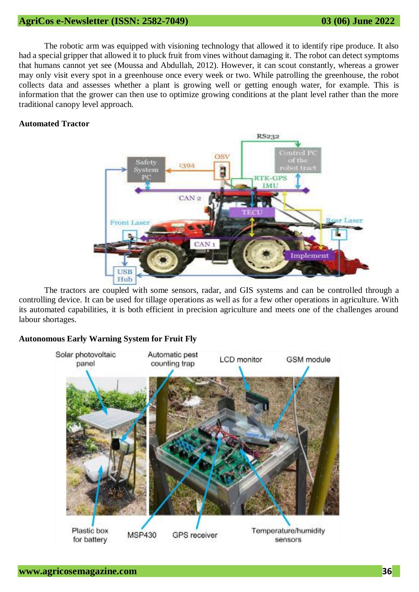The robotic arm was equipped with visioning technology that allowed it to identify ripe produce. It also had a special gripper that allowed it to pluck fruit from vines without damaging it. The robot can detect symptoms that humans cannot yet see (Moussa and Abdullah, 2012). However, it can scout constantly, whereas a grower may only visit every spot in a greenhouse once every week or two. While patrolling the greenhouse, the robot collects data and assesses whether a plant is growing well or getting enough water, for example. This is information that the grower can then use to optimize growing conditions at the plant level rather than the more traditional canopy level approach.

#### **Automated Tractor**



The tractors are coupled with some sensors, radar, and GIS systems and can be controlled through a controlling device. It can be used for tillage operations as well as for a few other operations in agriculture. With its automated capabilities, it is both efficient in precision agriculture and meets one of the challenges around labour shortages.

#### **Autonomous Early Warning System for Fruit Fly**